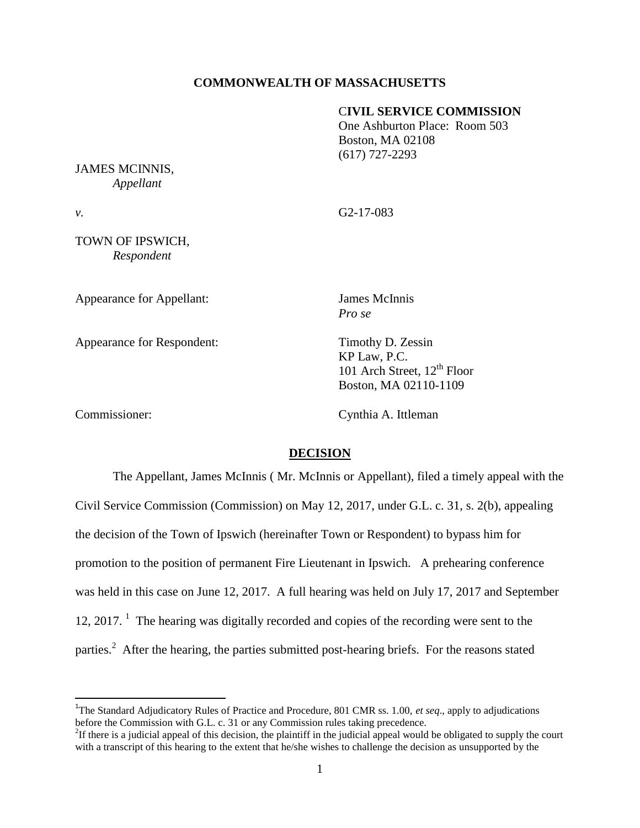## **COMMONWEALTH OF MASSACHUSETTS**

## C**IVIL SERVICE COMMISSION**

One Ashburton Place: Room 503 Boston, MA 02108 (617) 727-2293

JAMES MCINNIS, *Appellant*

*v.* G2-17-083

TOWN OF IPSWICH, *Respondent*

Appearance for Appellant: James McInnis

*Pro se*

KP Law, P.C.

Appearance for Respondent: Timothy D. Zessin

 $\overline{\phantom{a}}$ 

Commissioner: Cynthia A. Ittleman

101 Arch Street,  $12^{th}$  Floor Boston, MA 02110-1109

### **DECISION**

The Appellant, James McInnis ( Mr. McInnis or Appellant), filed a timely appeal with the Civil Service Commission (Commission) on May 12, 2017, under G.L. c. 31, s. 2(b), appealing the decision of the Town of Ipswich (hereinafter Town or Respondent) to bypass him for promotion to the position of permanent Fire Lieutenant in Ipswich. A prehearing conference was held in this case on June 12, 2017. A full hearing was held on July 17, 2017 and September 12, 2017. <sup>1</sup> The hearing was digitally recorded and copies of the recording were sent to the parties.<sup>2</sup> After the hearing, the parties submitted post-hearing briefs. For the reasons stated

<sup>1</sup>The Standard Adjudicatory Rules of Practice and Procedure, 801 CMR ss. 1.00, *et seq.*, apply to adjudications before the Commission with G.L. c. 31 or any Commission rules taking precedence.

 ${}^{2}$ If there is a judicial appeal of this decision, the plaintiff in the judicial appeal would be obligated to supply the court with a transcript of this hearing to the extent that he/she wishes to challenge the decision as unsupported by the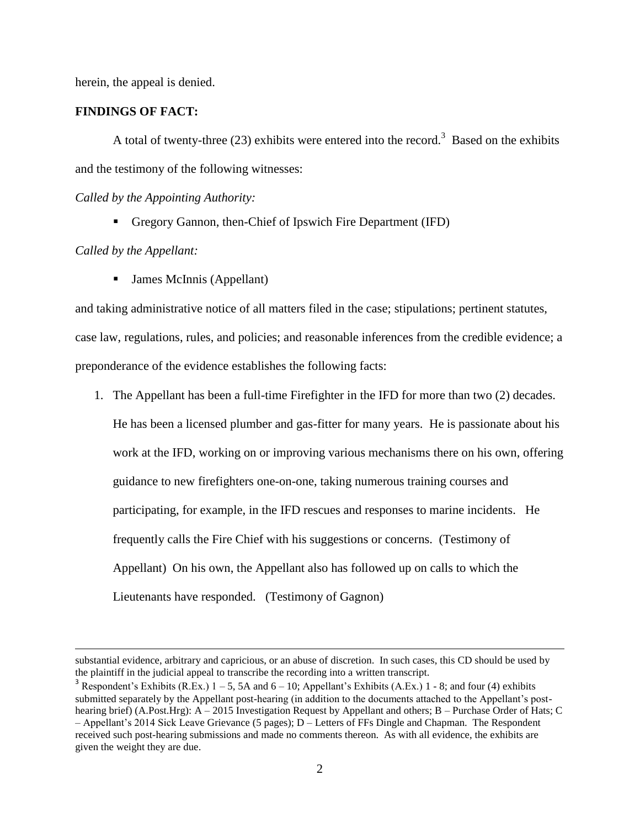herein, the appeal is denied.

# **FINDINGS OF FACT:**

A total of twenty-three (23) exhibits were entered into the record.<sup>3</sup> Based on the exhibits and the testimony of the following witnesses:

*Called by the Appointing Authority:*

Gregory Gannon, then-Chief of Ipswich Fire Department (IFD)

### *Called by the Appellant:*

 $\overline{\phantom{a}}$ 

■ James McInnis (Appellant)

and taking administrative notice of all matters filed in the case; stipulations; pertinent statutes, case law, regulations, rules, and policies; and reasonable inferences from the credible evidence; a preponderance of the evidence establishes the following facts:

1. The Appellant has been a full-time Firefighter in the IFD for more than two (2) decades.

He has been a licensed plumber and gas-fitter for many years. He is passionate about his work at the IFD, working on or improving various mechanisms there on his own, offering guidance to new firefighters one-on-one, taking numerous training courses and participating, for example, in the IFD rescues and responses to marine incidents. He frequently calls the Fire Chief with his suggestions or concerns. (Testimony of Appellant) On his own, the Appellant also has followed up on calls to which the Lieutenants have responded. (Testimony of Gagnon)

substantial evidence, arbitrary and capricious, or an abuse of discretion. In such cases, this CD should be used by the plaintiff in the judicial appeal to transcribe the recording into a written transcript.

<sup>&</sup>lt;sup>3</sup> Respondent's Exhibits (R.Ex.)  $1 - 5$ , 5A and  $6 - 10$ ; Appellant's Exhibits (A.Ex.)  $1 - 8$ ; and four (4) exhibits submitted separately by the Appellant post-hearing (in addition to the documents attached to the Appellant's posthearing brief) (A.Post.Hrg): A – 2015 Investigation Request by Appellant and others; B – Purchase Order of Hats; C – Appellant's 2014 Sick Leave Grievance (5 pages); D – Letters of FFs Dingle and Chapman. The Respondent received such post-hearing submissions and made no comments thereon. As with all evidence, the exhibits are given the weight they are due.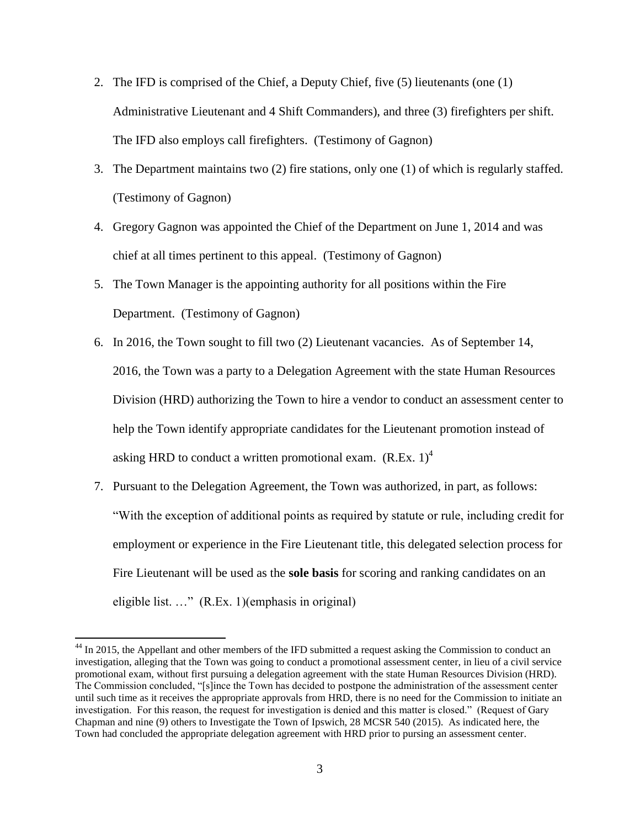- 2. The IFD is comprised of the Chief, a Deputy Chief, five (5) lieutenants (one (1) Administrative Lieutenant and 4 Shift Commanders), and three (3) firefighters per shift. The IFD also employs call firefighters. (Testimony of Gagnon)
- 3. The Department maintains two (2) fire stations, only one (1) of which is regularly staffed. (Testimony of Gagnon)
- 4. Gregory Gagnon was appointed the Chief of the Department on June 1, 2014 and was chief at all times pertinent to this appeal. (Testimony of Gagnon)
- 5. The Town Manager is the appointing authority for all positions within the Fire Department. (Testimony of Gagnon)
- 6. In 2016, the Town sought to fill two (2) Lieutenant vacancies. As of September 14, 2016, the Town was a party to a Delegation Agreement with the state Human Resources Division (HRD) authorizing the Town to hire a vendor to conduct an assessment center to help the Town identify appropriate candidates for the Lieutenant promotion instead of asking HRD to conduct a written promotional exam.  $(R.Ex. 1)^4$
- 7. Pursuant to the Delegation Agreement, the Town was authorized, in part, as follows: "With the exception of additional points as required by statute or rule, including credit for employment or experience in the Fire Lieutenant title, this delegated selection process for Fire Lieutenant will be used as the **sole basis** for scoring and ranking candidates on an eligible list. …" (R.Ex. 1)(emphasis in original)

<sup>&</sup>lt;sup>44</sup> In 2015, the Appellant and other members of the IFD submitted a request asking the Commission to conduct an investigation, alleging that the Town was going to conduct a promotional assessment center, in lieu of a civil service promotional exam, without first pursuing a delegation agreement with the state Human Resources Division (HRD). The Commission concluded, "[s]ince the Town has decided to postpone the administration of the assessment center until such time as it receives the appropriate approvals from HRD, there is no need for the Commission to initiate an investigation. For this reason, the request for investigation is denied and this matter is closed." (Request of Gary Chapman and nine (9) others to Investigate the Town of Ipswich, 28 MCSR 540 (2015). As indicated here, the Town had concluded the appropriate delegation agreement with HRD prior to pursing an assessment center.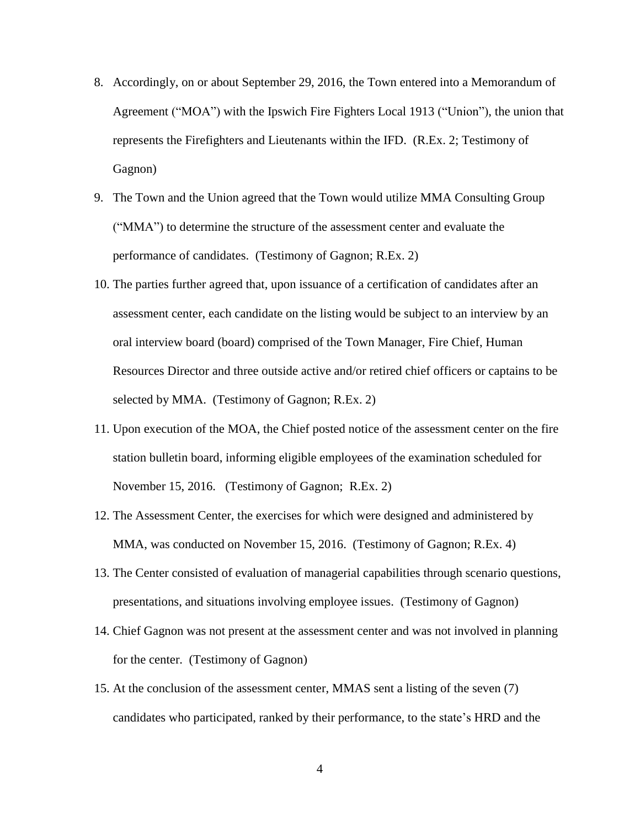- 8. Accordingly, on or about September 29, 2016, the Town entered into a Memorandum of Agreement ("MOA") with the Ipswich Fire Fighters Local 1913 ("Union"), the union that represents the Firefighters and Lieutenants within the IFD. (R.Ex. 2; Testimony of Gagnon)
- 9. The Town and the Union agreed that the Town would utilize MMA Consulting Group ("MMA") to determine the structure of the assessment center and evaluate the performance of candidates. (Testimony of Gagnon; R.Ex. 2)
- 10. The parties further agreed that, upon issuance of a certification of candidates after an assessment center, each candidate on the listing would be subject to an interview by an oral interview board (board) comprised of the Town Manager, Fire Chief, Human Resources Director and three outside active and/or retired chief officers or captains to be selected by MMA. (Testimony of Gagnon; R.Ex. 2)
- 11. Upon execution of the MOA, the Chief posted notice of the assessment center on the fire station bulletin board, informing eligible employees of the examination scheduled for November 15, 2016. (Testimony of Gagnon; R.Ex. 2)
- 12. The Assessment Center, the exercises for which were designed and administered by MMA, was conducted on November 15, 2016. (Testimony of Gagnon; R.Ex. 4)
- 13. The Center consisted of evaluation of managerial capabilities through scenario questions, presentations, and situations involving employee issues. (Testimony of Gagnon)
- 14. Chief Gagnon was not present at the assessment center and was not involved in planning for the center. (Testimony of Gagnon)
- 15. At the conclusion of the assessment center, MMAS sent a listing of the seven (7) candidates who participated, ranked by their performance, to the state's HRD and the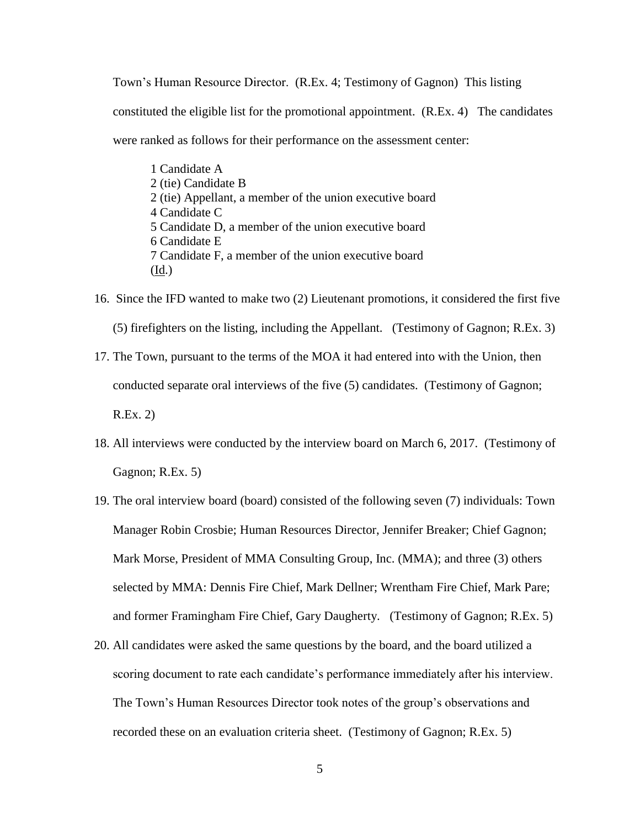Town's Human Resource Director. (R.Ex. 4; Testimony of Gagnon) This listing constituted the eligible list for the promotional appointment. (R.Ex. 4) The candidates were ranked as follows for their performance on the assessment center:

1 Candidate A 2 (tie) Candidate B 2 (tie) Appellant, a member of the union executive board 4 Candidate C 5 Candidate D, a member of the union executive board 6 Candidate E 7 Candidate F, a member of the union executive board (Id.)

- 16. Since the IFD wanted to make two (2) Lieutenant promotions, it considered the first five (5) firefighters on the listing, including the Appellant. (Testimony of Gagnon; R.Ex. 3) 17. The Town, pursuant to the terms of the MOA it had entered into with the Union, then
- conducted separate oral interviews of the five (5) candidates. (Testimony of Gagnon; R.Ex. 2)
- 18. All interviews were conducted by the interview board on March 6, 2017. (Testimony of Gagnon; R.Ex. 5)
- 19. The oral interview board (board) consisted of the following seven (7) individuals: Town Manager Robin Crosbie; Human Resources Director, Jennifer Breaker; Chief Gagnon; Mark Morse, President of MMA Consulting Group, Inc. (MMA); and three (3) others selected by MMA: Dennis Fire Chief, Mark Dellner; Wrentham Fire Chief, Mark Pare; and former Framingham Fire Chief, Gary Daugherty. (Testimony of Gagnon; R.Ex. 5)
- 20. All candidates were asked the same questions by the board, and the board utilized a scoring document to rate each candidate's performance immediately after his interview. The Town's Human Resources Director took notes of the group's observations and recorded these on an evaluation criteria sheet. (Testimony of Gagnon; R.Ex. 5)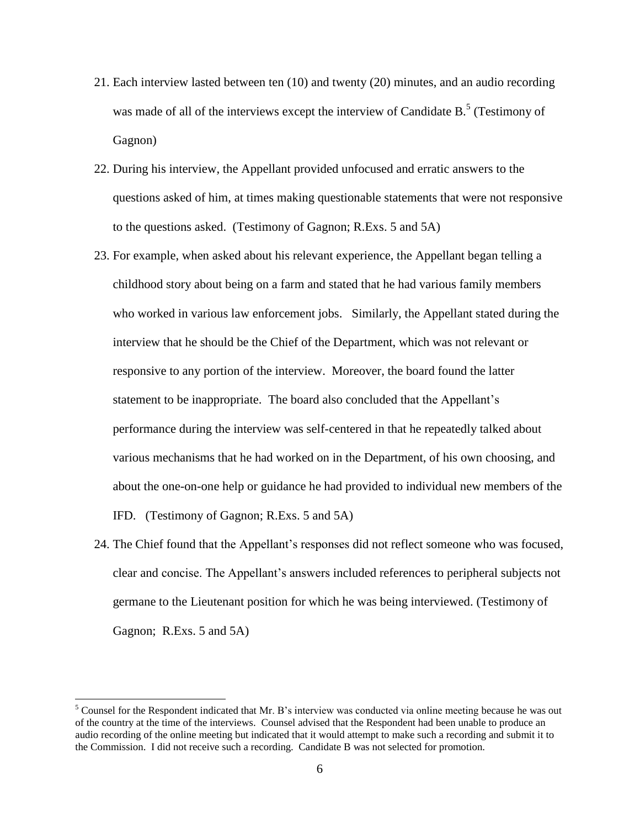- 21. Each interview lasted between ten (10) and twenty (20) minutes, and an audio recording was made of all of the interviews except the interview of Candidate B.<sup>5</sup> (Testimony of Gagnon)
- 22. During his interview, the Appellant provided unfocused and erratic answers to the questions asked of him, at times making questionable statements that were not responsive to the questions asked. (Testimony of Gagnon; R.Exs. 5 and 5A)
- 23. For example, when asked about his relevant experience, the Appellant began telling a childhood story about being on a farm and stated that he had various family members who worked in various law enforcement jobs. Similarly, the Appellant stated during the interview that he should be the Chief of the Department, which was not relevant or responsive to any portion of the interview. Moreover, the board found the latter statement to be inappropriate. The board also concluded that the Appellant's performance during the interview was self-centered in that he repeatedly talked about various mechanisms that he had worked on in the Department, of his own choosing, and about the one-on-one help or guidance he had provided to individual new members of the IFD. (Testimony of Gagnon; R.Exs. 5 and 5A)
- 24. The Chief found that the Appellant's responses did not reflect someone who was focused, clear and concise. The Appellant's answers included references to peripheral subjects not germane to the Lieutenant position for which he was being interviewed. (Testimony of Gagnon; R.Exs. 5 and 5A)

 $\overline{\phantom{a}}$ 

<sup>&</sup>lt;sup>5</sup> Counsel for the Respondent indicated that Mr. B's interview was conducted via online meeting because he was out of the country at the time of the interviews. Counsel advised that the Respondent had been unable to produce an audio recording of the online meeting but indicated that it would attempt to make such a recording and submit it to the Commission. I did not receive such a recording. Candidate B was not selected for promotion.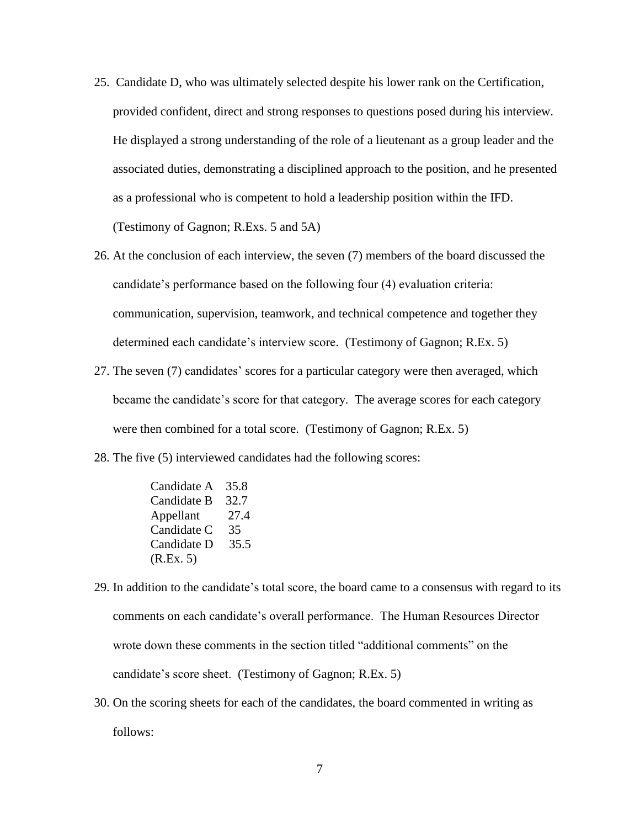- 25. Candidate D, who was ultimately selected despite his lower rank on the Certification, provided confident, direct and strong responses to questions posed during his interview. He displayed a strong understanding of the role of a lieutenant as a group leader and the associated duties, demonstrating a disciplined approach to the position, and he presented as a professional who is competent to hold a leadership position within the IFD. (Testimony of Gagnon; R.Exs. 5 and 5A)
- 26. At the conclusion of each interview, the seven (7) members of the board discussed the candidate's performance based on the following four (4) evaluation criteria: communication, supervision, teamwork, and technical competence and together they determined each candidate's interview score. (Testimony of Gagnon; R.Ex. 5)
- 27. The seven (7) candidates' scores for a particular category were then averaged, which became the candidate's score for that category. The average scores for each category were then combined for a total score. (Testimony of Gagnon; R.Ex. 5)
- 28. The five (5) interviewed candidates had the following scores:
	- Candidate A 35.8 Candidate B 32.7 Appellant 27.4 Candidate C 35 Candidate D 35.5 (R.Ex. 5)
- 29. In addition to the candidate's total score, the board came to a consensus with regard to its comments on each candidate's overall performance. The Human Resources Director wrote down these comments in the section titled "additional comments" on the candidate's score sheet. (Testimony of Gagnon; R.Ex. 5)
- 30. On the scoring sheets for each of the candidates, the board commented in writing as follows: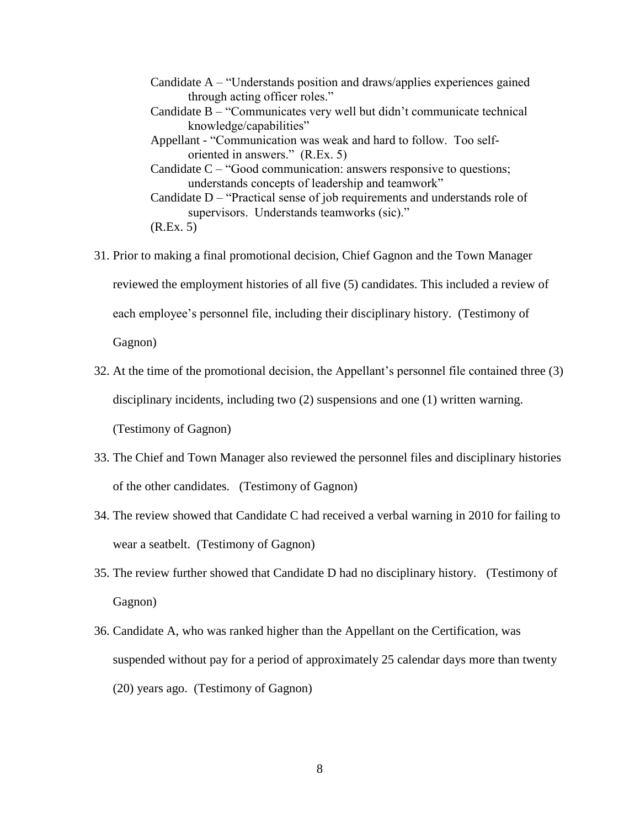Candidate A – "Understands position and draws/applies experiences gained through acting officer roles." Candidate B – "Communicates very well but didn't communicate technical knowledge/capabilities" Appellant - "Communication was weak and hard to follow. Too selforiented in answers." (R.Ex. 5) Candidate C – "Good communication: answers responsive to questions; understands concepts of leadership and teamwork" Candidate D – "Practical sense of job requirements and understands role of supervisors. Understands teamworks (sic)." (R.Ex. 5)

- 31. Prior to making a final promotional decision, Chief Gagnon and the Town Manager reviewed the employment histories of all five (5) candidates. This included a review of each employee's personnel file, including their disciplinary history. (Testimony of Gagnon)
- 32. At the time of the promotional decision, the Appellant's personnel file contained three (3) disciplinary incidents, including two (2) suspensions and one (1) written warning. (Testimony of Gagnon)
- 33. The Chief and Town Manager also reviewed the personnel files and disciplinary histories of the other candidates. (Testimony of Gagnon)
- 34. The review showed that Candidate C had received a verbal warning in 2010 for failing to wear a seatbelt. (Testimony of Gagnon)
- 35. The review further showed that Candidate D had no disciplinary history. (Testimony of Gagnon)
- 36. Candidate A, who was ranked higher than the Appellant on the Certification, was suspended without pay for a period of approximately 25 calendar days more than twenty (20) years ago. (Testimony of Gagnon)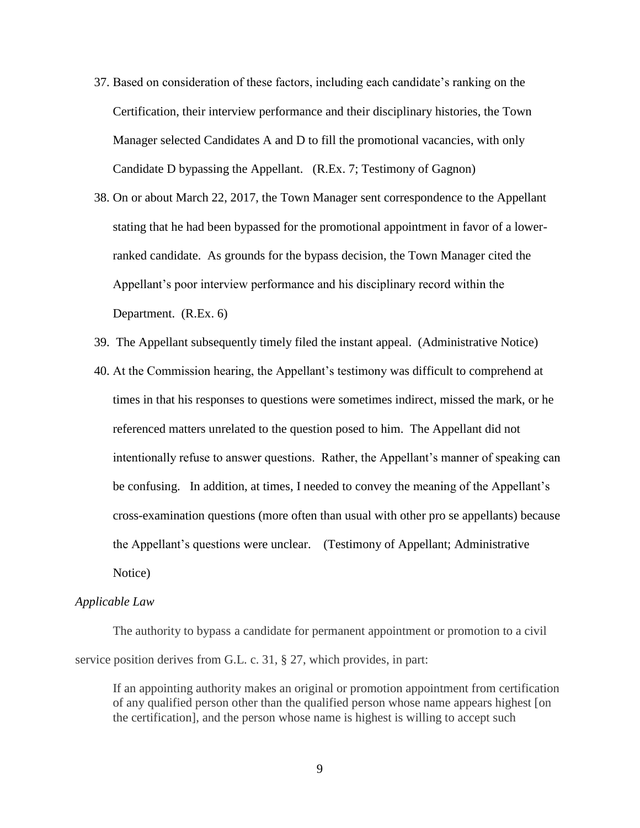- 37. Based on consideration of these factors, including each candidate's ranking on the Certification, their interview performance and their disciplinary histories, the Town Manager selected Candidates A and D to fill the promotional vacancies, with only Candidate D bypassing the Appellant. (R.Ex. 7; Testimony of Gagnon)
- 38. On or about March 22, 2017, the Town Manager sent correspondence to the Appellant stating that he had been bypassed for the promotional appointment in favor of a lowerranked candidate. As grounds for the bypass decision, the Town Manager cited the Appellant's poor interview performance and his disciplinary record within the Department. (R.Ex. 6)
- 39. The Appellant subsequently timely filed the instant appeal. (Administrative Notice)
- 40. At the Commission hearing, the Appellant's testimony was difficult to comprehend at times in that his responses to questions were sometimes indirect, missed the mark, or he referenced matters unrelated to the question posed to him. The Appellant did not intentionally refuse to answer questions. Rather, the Appellant's manner of speaking can be confusing. In addition, at times, I needed to convey the meaning of the Appellant's cross-examination questions (more often than usual with other pro se appellants) because the Appellant's questions were unclear. (Testimony of Appellant; Administrative Notice)

#### *Applicable Law*

The authority to bypass a candidate for permanent appointment or promotion to a civil service position derives from G.L. c. 31, § 27, which provides, in part:

If an appointing authority makes an original or promotion appointment from certification of any qualified person other than the qualified person whose name appears highest [on the certification], and the person whose name is highest is willing to accept such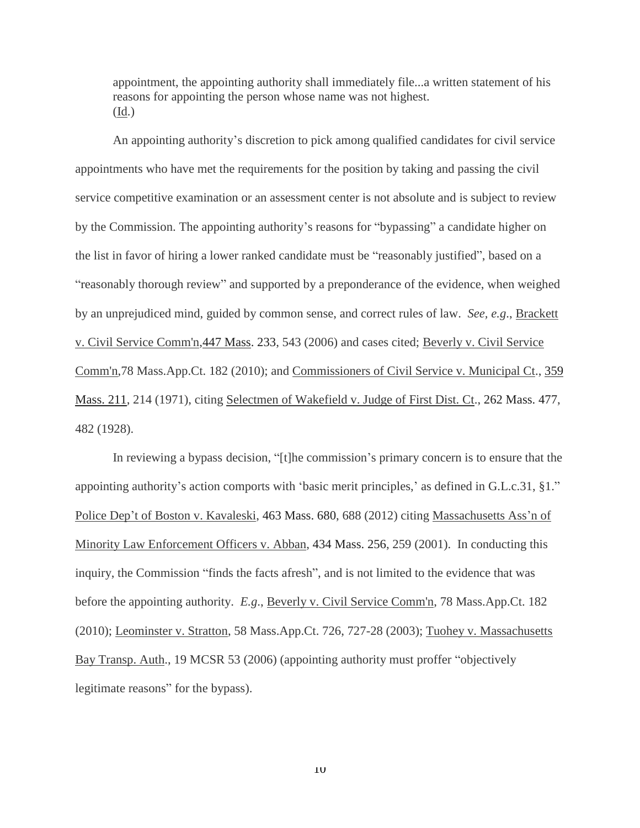appointment, the appointing authority shall immediately file...a written statement of his reasons for appointing the person whose name was not highest. (Id.)

An appointing authority's discretion to pick among qualified candidates for civil service appointments who have met the requirements for the position by taking and passing the civil service competitive examination or an assessment center is not absolute and is subject to review by the Commission. The appointing authority's reasons for "bypassing" a candidate higher on the list in favor of hiring a lower ranked candidate must be "reasonably justified", based on a "reasonably thorough review" and supported by a preponderance of the evidence, when weighed by an unprejudiced mind, guided by common sense, and correct rules of law. *See, e.g*., Brackett v. Civil Service Comm'n[,447 Mass. 233,](http://sll.gvpi.net/document.php?id=sjcapp:447_mass_233) 543 (2006) and cases cited; Beverly v. Civil Service Comm'n,78 Mass.App.Ct. 182 (2010); and Commissioners of Civil Service v. Municipal Ct., [359](http://sll.gvpi.net/document.php?id=sjcapp:359_mass_211)  [Mass. 211,](http://sll.gvpi.net/document.php?id=sjcapp:359_mass_211) 214 (1971), citing Selectmen of Wakefield v. Judge of First Dist. Ct., [262 Mass. 477,](http://sll.gvpi.net/document.php?id=sjcapp:262_mass_477) 482 (1928).

In reviewing a bypass decision, "[t]he commission's primary concern is to ensure that the appointing authority's action comports with 'basic merit principles,' as defined in G.L.c.31, §1." Police Dep't of Boston v. Kavaleski, [463 Mass. 680,](http://sll.gvpi.net/document.php?id=sjcapp:463_mass_680) 688 (2012) citing Massachusetts Ass'n of Minority Law Enforcement Officers v. Abban, [434 Mass. 256,](http://sll.gvpi.net/document.php?id=sjcapp:434_mass_256) 259 (2001). In conducting this inquiry, the Commission "finds the facts afresh", and is not limited to the evidence that was before the appointing authority. *E.g*., Beverly v. Civil Service Comm'n, 78 Mass.App.Ct. 182 (2010); Leominster v. Stratton, 58 Mass.App.Ct. 726, 727-28 (2003); Tuohey v. Massachusetts Bay Transp. Auth., 19 MCSR 53 (2006) (appointing authority must proffer "objectively legitimate reasons" for the bypass).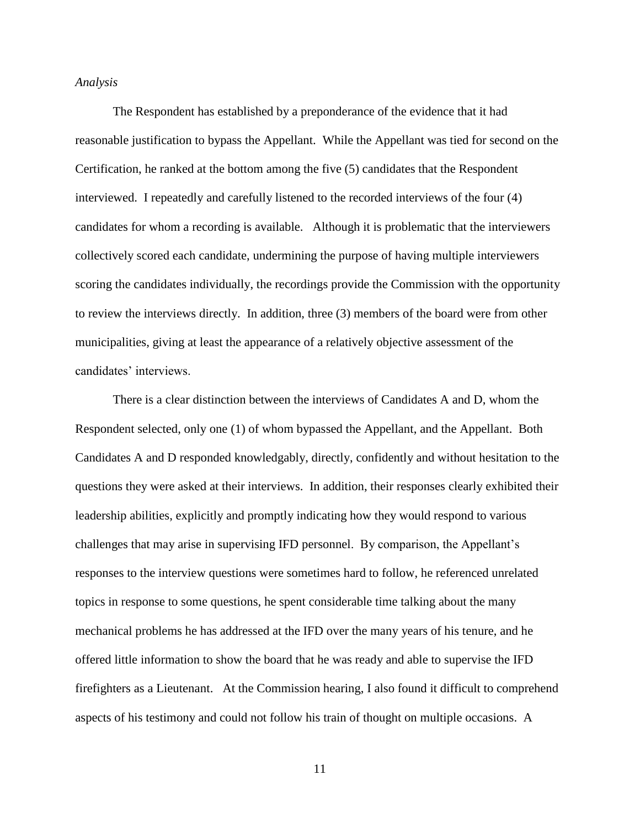### *Analysis*

The Respondent has established by a preponderance of the evidence that it had reasonable justification to bypass the Appellant. While the Appellant was tied for second on the Certification, he ranked at the bottom among the five (5) candidates that the Respondent interviewed. I repeatedly and carefully listened to the recorded interviews of the four (4) candidates for whom a recording is available. Although it is problematic that the interviewers collectively scored each candidate, undermining the purpose of having multiple interviewers scoring the candidates individually, the recordings provide the Commission with the opportunity to review the interviews directly. In addition, three (3) members of the board were from other municipalities, giving at least the appearance of a relatively objective assessment of the candidates' interviews.

There is a clear distinction between the interviews of Candidates A and D, whom the Respondent selected, only one (1) of whom bypassed the Appellant, and the Appellant. Both Candidates A and D responded knowledgably, directly, confidently and without hesitation to the questions they were asked at their interviews. In addition, their responses clearly exhibited their leadership abilities, explicitly and promptly indicating how they would respond to various challenges that may arise in supervising IFD personnel. By comparison, the Appellant's responses to the interview questions were sometimes hard to follow, he referenced unrelated topics in response to some questions, he spent considerable time talking about the many mechanical problems he has addressed at the IFD over the many years of his tenure, and he offered little information to show the board that he was ready and able to supervise the IFD firefighters as a Lieutenant. At the Commission hearing, I also found it difficult to comprehend aspects of his testimony and could not follow his train of thought on multiple occasions. A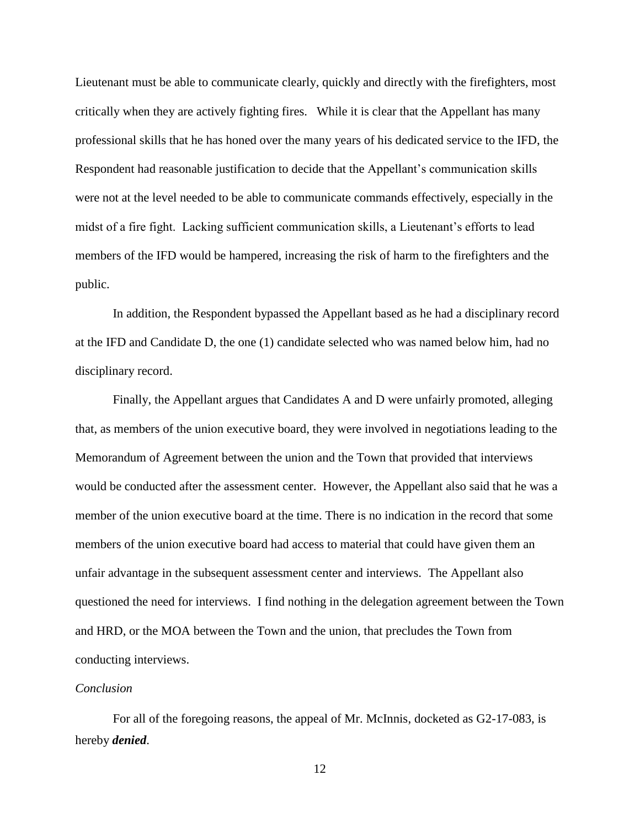Lieutenant must be able to communicate clearly, quickly and directly with the firefighters, most critically when they are actively fighting fires. While it is clear that the Appellant has many professional skills that he has honed over the many years of his dedicated service to the IFD, the Respondent had reasonable justification to decide that the Appellant's communication skills were not at the level needed to be able to communicate commands effectively, especially in the midst of a fire fight. Lacking sufficient communication skills, a Lieutenant's efforts to lead members of the IFD would be hampered, increasing the risk of harm to the firefighters and the public.

In addition, the Respondent bypassed the Appellant based as he had a disciplinary record at the IFD and Candidate D, the one (1) candidate selected who was named below him, had no disciplinary record.

Finally, the Appellant argues that Candidates A and D were unfairly promoted, alleging that, as members of the union executive board, they were involved in negotiations leading to the Memorandum of Agreement between the union and the Town that provided that interviews would be conducted after the assessment center. However, the Appellant also said that he was a member of the union executive board at the time. There is no indication in the record that some members of the union executive board had access to material that could have given them an unfair advantage in the subsequent assessment center and interviews. The Appellant also questioned the need for interviews. I find nothing in the delegation agreement between the Town and HRD, or the MOA between the Town and the union, that precludes the Town from conducting interviews.

## *Conclusion*

For all of the foregoing reasons, the appeal of Mr. McInnis, docketed as G2-17-083, is hereby *denied*.